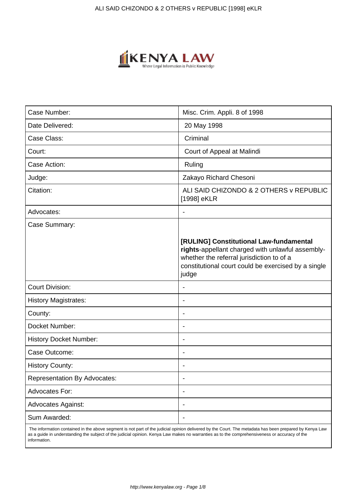

| Case Number:                        | Misc. Crim. Appli. 8 of 1998                                                                                                                                                                             |
|-------------------------------------|----------------------------------------------------------------------------------------------------------------------------------------------------------------------------------------------------------|
| Date Delivered:                     | 20 May 1998                                                                                                                                                                                              |
| Case Class:                         | Criminal                                                                                                                                                                                                 |
| Court:                              | Court of Appeal at Malindi                                                                                                                                                                               |
| Case Action:                        | Ruling                                                                                                                                                                                                   |
| Judge:                              | Zakayo Richard Chesoni                                                                                                                                                                                   |
| Citation:                           | ALI SAID CHIZONDO & 2 OTHERS v REPUBLIC<br>[1998] eKLR                                                                                                                                                   |
| Advocates:                          |                                                                                                                                                                                                          |
| Case Summary:                       |                                                                                                                                                                                                          |
|                                     | [RULING] Constitutional Law-fundamental<br>rights-appellant charged with unlawful assembly-<br>whether the referral jurisdiction to of a<br>constitutional court could be exercised by a single<br>judge |
| <b>Court Division:</b>              |                                                                                                                                                                                                          |
| <b>History Magistrates:</b>         |                                                                                                                                                                                                          |
| County:                             |                                                                                                                                                                                                          |
| Docket Number:                      |                                                                                                                                                                                                          |
| <b>History Docket Number:</b>       | $\overline{\phantom{0}}$                                                                                                                                                                                 |
| Case Outcome:                       |                                                                                                                                                                                                          |
| <b>History County:</b>              |                                                                                                                                                                                                          |
| <b>Representation By Advocates:</b> | ٠                                                                                                                                                                                                        |
| Advocates For:                      |                                                                                                                                                                                                          |
| <b>Advocates Against:</b>           |                                                                                                                                                                                                          |
| Sum Awarded:                        |                                                                                                                                                                                                          |

 The information contained in the above segment is not part of the judicial opinion delivered by the Court. The metadata has been prepared by Kenya Law as a guide in understanding the subject of the judicial opinion. Kenya Law makes no warranties as to the comprehensiveness or accuracy of the information.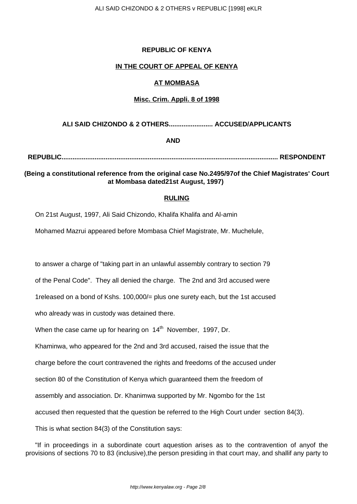### **REPUBLIC OF KENYA**

### **IN THE COURT OF APPEAL OF KENYA**

### **AT MOMBASA**

### **Misc. Crim. Appli. 8 of 1998**

### **ALI SAID CHIZONDO & 2 OTHERS........................ ACCUSED/APPLICANTS**

# **AND**

**REPUBLIC...................................................................................................................... RESPONDENT**

# **(Being a constitutional reference from the original case No.2495/97of the Chief Magistrates' Court at Mombasa dated21st August, 1997)**

#### **RULING**

On 21st August, 1997, Ali Said Chizondo, Khalifa Khalifa and Al-amin

Mohamed Mazrui appeared before Mombasa Chief Magistrate, Mr. Muchelule,

to answer a charge of "taking part in an unlawful assembly contrary to section 79

of the Penal Code". They all denied the charge. The 2nd and 3rd accused were

1released on a bond of Kshs. 100,000/= plus one surety each, but the 1st accused

who already was in custody was detained there.

When the case came up for hearing on  $14<sup>th</sup>$  November, 1997, Dr.

Khaminwa, who appeared for the 2nd and 3rd accused, raised the issue that the

charge before the court contravened the rights and freedoms of the accused under

section 80 of the Constitution of Kenya which guaranteed them the freedom of

assembly and association. Dr. Khanimwa supported by Mr. Ngombo for the 1st

accused then requested that the question be referred to the High Court under section 84(3).

This is what section 84(3) of the Constitution says:

"If in proceedings in a subordinate court aquestion arises as to the contravention of anyof the provisions of sections 70 to 83 (inclusive),the person presiding in that court may, and shallif any party to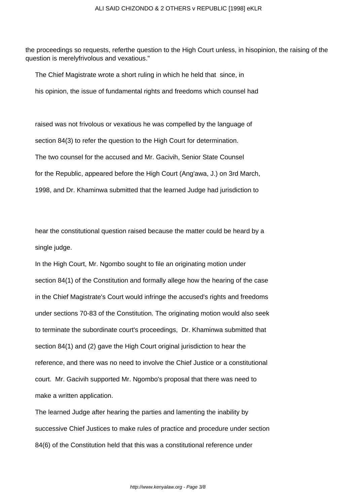the proceedings so requests, referthe question to the High Court unless, in hisopinion, the raising of the question is merelyfrivolous and vexatious."

The Chief Magistrate wrote a short ruling in which he held that since, in

his opinion, the issue of fundamental rights and freedoms which counsel had

raised was not frivolous or vexatious he was compelled by the language of section 84(3) to refer the question to the High Court for determination. The two counsel for the accused and Mr. Gacivih, Senior State Counsel for the Republic, appeared before the High Court (Ang'awa, J.) on 3rd March, 1998, and Dr. Khaminwa submitted that the learned Judge had jurisdiction to

hear the constitutional question raised because the matter could be heard by a single judge.

In the High Court, Mr. Ngombo sought to file an originating motion under section 84(1) of the Constitution and formally allege how the hearing of the case in the Chief Magistrate's Court would infringe the accused's rights and freedoms under sections 70-83 of the Constitution. The originating motion would also seek to terminate the subordinate court's proceedings, Dr. Khaminwa submitted that section 84(1) and (2) gave the High Court original jurisdiction to hear the reference, and there was no need to involve the Chief Justice or a constitutional court. Mr. Gacivih supported Mr. Ngombo's proposal that there was need to make a written application.

The learned Judge after hearing the parties and lamenting the inability by successive Chief Justices to make rules of practice and procedure under section 84(6) of the Constitution held that this was a constitutional reference under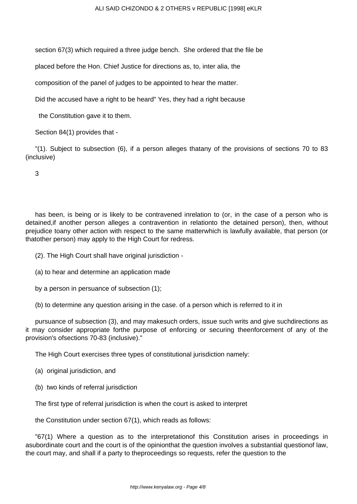section 67(3) which required a three judge bench. She ordered that the file be

placed before the Hon. Chief Justice for directions as, to, inter alia, the

composition of the panel of judges to be appointed to hear the matter.

Did the accused have a right to be heard" Yes, they had a right because

the Constitution gave it to them.

Section 84(1) provides that -

"(1). Subject to subsection (6), if a person alleges thatany of the provisions of sections 70 to 83 (inclusive)

3

has been, is being or is likely to be contravened inrelation to (or, in the case of a person who is detained,if another person alleges a contravention in relationto the detained person), then, without prejudice toany other action with respect to the same matterwhich is lawfully available, that person (or thatother person) may apply to the High Court for redress.

(2). The High Court shall have original jurisdiction -

(a) to hear and determine an application made

by a person in persuance of subsection (1);

(b) to determine any question arising in the case. of a person which is referred to it in

pursuance of subsection (3), and may makesuch orders, issue such writs and give suchdirections as it may consider appropriate forthe purpose of enforcing or securing theenforcement of any of the provision's ofsections 70-83 (inclusive)."

The High Court exercises three types of constitutional jurisdiction namely:

- (a) original jurisdiction, and
- (b) two kinds of referral jurisdiction

The first type of referral jurisdiction is when the court is asked to interpret

the Constitution under section 67(1), which reads as follows:

"67(1) Where a question as to the interpretationof this Constitution arises in proceedings in asubordinate court and the court is of the opinionthat the question involves a substantial questionof law, the court may, and shall if a party to theproceedings so requests, refer the question to the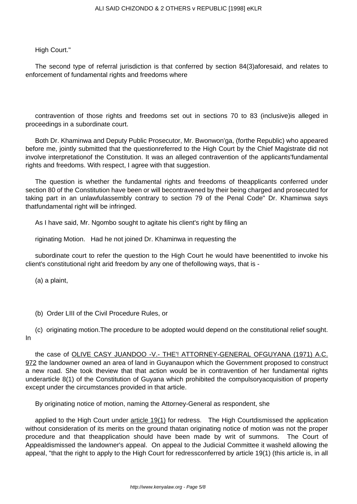# High Court."

The second type of referral jurisdiction is that conferred by section 84(3)aforesaid, and relates to enforcement of fundamental rights and freedoms where

contravention of those rights and freedoms set out in sections 70 to 83 (inclusive)is alleged in proceedings in a subordinate court.

Both Dr. Khaminwa and Deputy Public Prosecutor, Mr. Bwonwon'ga, (forthe Republic) who appeared before me, jointly submitted that the questionreferred to the High Court by the Chief Magistrate did not involve interpretationof the Constitution. It was an alleged contravention of the applicants'fundamental rights and freedoms. With respect, I agree with that suggestion.

The question is whether the fundamental rights and freedoms of theapplicants conferred under section 80 of the Constitution have been or will becontravened by their being charged and prosecuted for taking part in an unlawfulassembly contrary to section 79 of the Penal Code" Dr. Khaminwa says thatfundamental right will be infringed.

As I have said, Mr. Ngombo sought to agitate his client's right by filing an

riginating Motion. Had he not joined Dr. Khaminwa in requesting the

subordinate court to refer the question to the High Court he would have beenentitled to invoke his client's constitutional right arid freedom by any one of thefollowing ways, that is -

(a) a plaint,

- (b) Order LIII of the Civil Procedure Rules, or
- (c) originating motion.The procedure to be adopted would depend on the constitutional relief sought. In

the case of OLIVE CASY JUANDOO -V.- THE'! ATTORNEY-GENERAL OFGUYANA (1971) A.C. 972 the landowner owned an area of land in Guyanaupon which the Government proposed to construct a new road. She took theview that that action would be in contravention of her fundamental rights underarticle 8(1) of the Constitution of Guyana which prohibited the compulsoryacquisition of property except under the circumstances provided in that article.

By originating notice of motion, naming the Attorney-General as respondent, she

applied to the High Court under article 19(1) for redress. The High Courtdismissed the application without consideration of its merits on the ground thatan originating notice of motion was not the proper procedure and that theapplication should have been made by writ of summons. The Court of Appealdismissed the landowner's appeal. On appeal to the Judicial Committee it washeld allowing the appeal, "that the right to apply to the High Court for redressconferred by article 19(1) (this article is, in all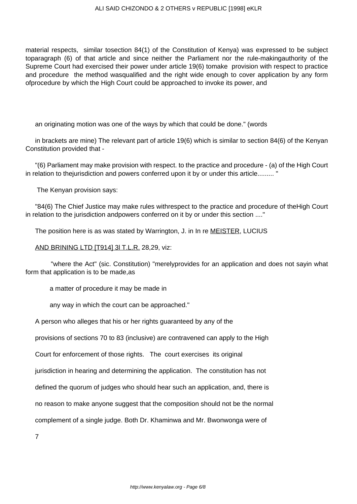material respects, similar tosection 84(1) of the Constitution of Kenya) was expressed to be subject toparagraph (6) of that article and since neither the Parliament nor the rule-makingauthority of the Supreme Court had exercised their power under article 19(6) tomake provision with respect to practice and procedure the method wasqualified and the right wide enough to cover application by any form ofprocedure by which the High Court could be approached to invoke its power, and

an originating motion was one of the ways by which that could be done." (words

in brackets are mine) The relevant part of article 19(6) which is similar to section 84(6) of the Kenyan Constitution provided that -

"(6) Parliament may make provision with respect. to the practice and procedure - (a) of the High Court in relation to thejurisdiction and powers conferred upon it by or under this article......... "

The Kenyan provision says:

"84(6) The Chief Justice may make rules withrespect to the practice and procedure of theHigh Court in relation to the jurisdiction andpowers conferred on it by or under this section ...."

The position here is as was stated by Warrington, J. in In re **MEISTER**, LUCIUS

AND BRINING LTD [T914] 3l T.L.R. 28,29, viz:

 "where the Act" (sic. Constitution) "merelyprovides for an application and does not sayin what form that application is to be made,as

a matter of procedure it may be made in

any way in which the court can be approached."

A person who alleges that his or her rights guaranteed by any of the

provisions of sections 70 to 83 (inclusive) are contravened can apply to the High

Court for enforcement of those rights. The court exercises its original

jurisdiction in hearing and determining the application. The constitution has not

defined the quorum of judges who should hear such an application, and, there is

no reason to make anyone suggest that the composition should not be the normal

complement of a single judge. Both Dr. Khaminwa and Mr. Bwonwonga were of

7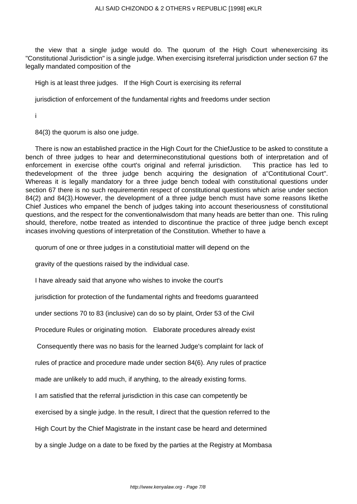the view that a single judge would do. The quorum of the High Court whenexercising its "Constitutional Jurisdiction" is a single judge. When exercising itsreferral jurisdiction under section 67 the legally mandated composition of the

High is at least three judges. If the High Court is exercising its referral

jurisdiction of enforcement of the fundamental rights and freedoms under section

i

84(3) the quorum is also one judge.

There is now an established practice in the High Court for the ChiefJustice to be asked to constitute a bench of three judges to hear and determineconstitutional questions both of interpretation and of enforcement in exercise ofthe court's original and referral jurisdiction. This practice has led to thedevelopment of the three judge bench acquiring the designation of a"Contitutional Court". Whereas it is legally mandatory for a three judge bench todeal with constitutional questions under section 67 there is no such requirementin respect of constitutional questions which arise under section 84(2) and 84(3).However, the development of a three judge bench must have some reasons likethe Chief Justices who empanel the bench of judges taking into account theseriousness of constitutional questions, and the respect for the conventionalwisdom that many heads are better than one. This ruling should, therefore, notbe treated as intended to discontinue the practice of three judge bench except incases involving questions of interpretation of the Constitution. Whether to have a

quorum of one or three judges in a constitutioial matter will depend on the

gravity of the questions raised by the individual case.

I have already said that anyone who wishes to invoke the court's

jurisdiction for protection of the fundamental rights and freedoms guaranteed

under sections 70 to 83 (inclusive) can do so by plaint, Order 53 of the Civil

Procedure Rules or originating motion. Elaborate procedures already exist

Consequently there was no basis for the learned Judge's complaint for lack of

rules of practice and procedure made under section 84(6). Any rules of practice

made are unlikely to add much, if anything, to the already existing forms.

I am satisfied that the referral jurisdiction in this case can competently be

exercised by a single judge. In the result, I direct that the question referred to the

High Court by the Chief Magistrate in the instant case be heard and determined

by a single Judge on a date to be fixed by the parties at the Registry at Mombasa